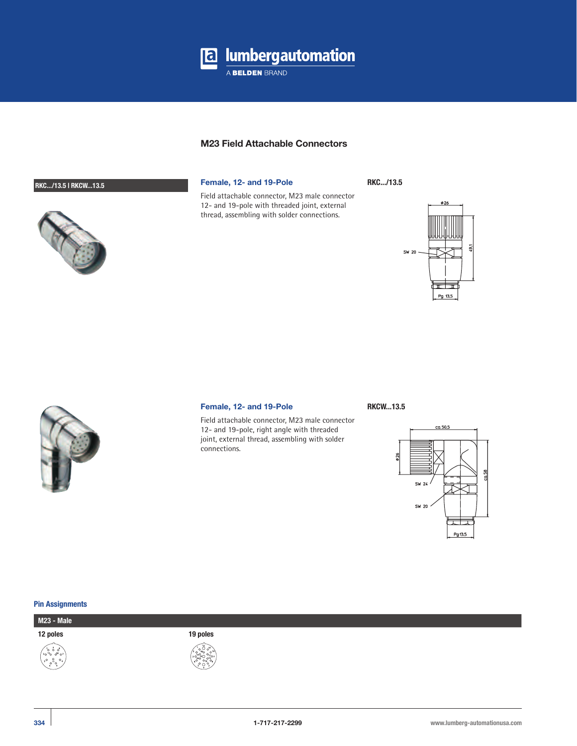

# **M23 Field Attachable Connectors**

Field attachable connector, M23 male connector 12- and 19-pole with threaded joint, external thread, assembling with solder connections.

# **RKC.../13.5 | RKCW...13.5 Female, 12- and 19-Pole**

**RKC.../13.5**





### **Female, 12- and 19-Pole RKCW...13.5**

Field attachable connector, M23 male connector 12- and 19-pole, right angle with threaded joint, external thread, assembling with solder connections.



#### **Pin Assignments**

**M23 - Male**